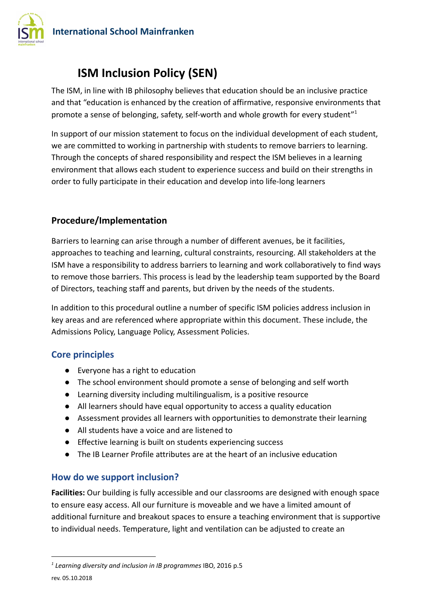

# **ISM Inclusion Policy (SEN)**

The ISM, in line with IB philosophy believes that education should be an inclusive practice and that "education is enhanced by the creation of affirmative, responsive environments that promote a sense of belonging, safety, self-worth and whole growth for every student"<sup>1</sup>

In support of our mission statement to focus on the individual development of each student, we are committed to working in partnership with students to remove barriers to learning. Through the concepts of shared responsibility and respect the ISM believes in a learning environment that allows each student to experience success and build on their strengths in order to fully participate in their education and develop into life-long learners

# **Procedure/Implementation**

Barriers to learning can arise through a number of different avenues, be it facilities, approaches to teaching and learning, cultural constraints, resourcing. All stakeholders at the ISM have a responsibility to address barriers to learning and work collaboratively to find ways to remove those barriers. This process is lead by the leadership team supported by the Board of Directors, teaching staff and parents, but driven by the needs of the students.

In addition to this procedural outline a number of specific ISM policies address inclusion in key areas and are referenced where appropriate within this document. These include, the Admissions Policy, Language Policy, Assessment Policies.

## **Core principles**

- Everyone has a right to education
- The school environment should promote a sense of belonging and self worth
- Learning diversity including multilingualism, is a positive resource
- All learners should have equal opportunity to access a quality education
- Assessment provides all learners with opportunities to demonstrate their learning
- All students have a voice and are listened to
- Effective learning is built on students experiencing success
- The IB Learner Profile attributes are at the heart of an inclusive education

# **How do we support inclusion?**

**Facilities:** Our building is fully accessible and our classrooms are designed with enough space to ensure easy access. All our furniture is moveable and we have a limited amount of additional furniture and breakout spaces to ensure a teaching environment that is supportive to individual needs. Temperature, light and ventilation can be adjusted to create an

*<sup>1</sup> Learning diversity and inclusion in IB programmes* IBO, 2016 p.5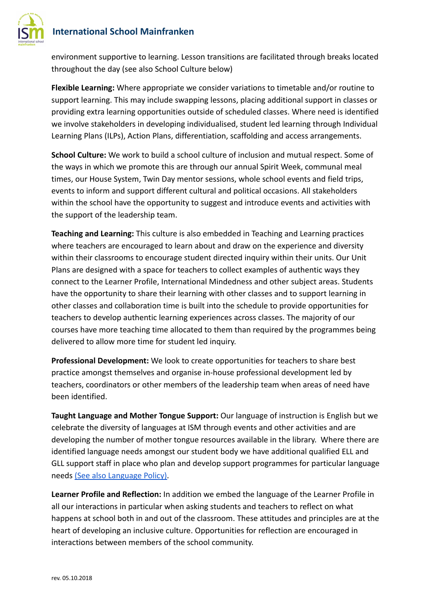

environment supportive to learning. Lesson transitions are facilitated through breaks located throughout the day (see also School Culture below)

**Flexible Learning:** Where appropriate we consider variations to timetable and/or routine to support learning. This may include swapping lessons, placing additional support in classes or providing extra learning opportunities outside of scheduled classes. Where need is identified we involve stakeholders in developing individualised, student led learning through Individual Learning Plans (ILPs), Action Plans, differentiation, scaffolding and access arrangements.

**School Culture:** We work to build a school culture of inclusion and mutual respect. Some of the ways in which we promote this are through our annual Spirit Week, communal meal times, our House System, Twin Day mentor sessions, whole school events and field trips, events to inform and support different cultural and political occasions. All stakeholders within the school have the opportunity to suggest and introduce events and activities with the support of the leadership team.

**Teaching and Learning:** This culture is also embedded in Teaching and Learning practices where teachers are encouraged to learn about and draw on the experience and diversity within their classrooms to encourage student directed inquiry within their units. Our Unit Plans are designed with a space for teachers to collect examples of authentic ways they connect to the Learner Profile, International Mindedness and other subject areas. Students have the opportunity to share their learning with other classes and to support learning in other classes and collaboration time is built into the schedule to provide opportunities for teachers to develop authentic learning experiences across classes. The majority of our courses have more teaching time allocated to them than required by the programmes being delivered to allow more time for student led inquiry.

**Professional Development:** We look to create opportunities for teachers to share best practice amongst themselves and organise in-house professional development led by teachers, coordinators or other members of the leadership team when areas of need have been identified.

**Taught Language and Mother Tongue Support:** Our language of instruction is English but we celebrate the diversity of languages at ISM through events and other activities and are developing the number of mother tongue resources available in the library. Where there are identified language needs amongst our student body we have additional qualified ELL and GLL support staff in place who plan and develop support programmes for particular language needs [\(See also Language Policy\).](https://drive.google.com/open?id=1e-QEIZtMr4vcV9kxaY52fpfM-t5rvXJvR0mHLifzdKk)

**Learner Profile and Reflection:** In addition we embed the language of the Learner Profile in all our interactions in particular when asking students and teachers to reflect on what happens at school both in and out of the classroom. These attitudes and principles are at the heart of developing an inclusive culture. Opportunities for reflection are encouraged in interactions between members of the school community.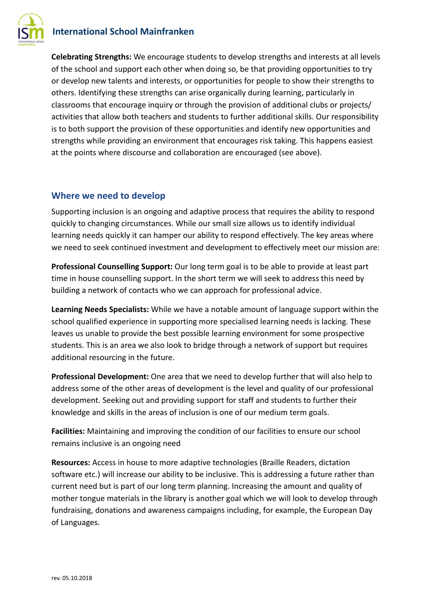# **International School Mainfranken**



**Celebrating Strengths:** We encourage students to develop strengths and interests at all levels of the school and support each other when doing so, be that providing opportunities to try or develop new talents and interests, or opportunities for people to show their strengths to others. Identifying these strengths can arise organically during learning, particularly in classrooms that encourage inquiry or through the provision of additional clubs or projects/ activities that allow both teachers and students to further additional skills. Our responsibility is to both support the provision of these opportunities and identify new opportunities and strengths while providing an environment that encourages risk taking. This happens easiest at the points where discourse and collaboration are encouraged (see above).

#### **Where we need to develop**

Supporting inclusion is an ongoing and adaptive process that requires the ability to respond quickly to changing circumstances. While our small size allows us to identify individual learning needs quickly it can hamper our ability to respond effectively. The key areas where we need to seek continued investment and development to effectively meet our mission are:

**Professional Counselling Support:** Our long term goal is to be able to provide at least part time in house counselling support. In the short term we will seek to address this need by building a network of contacts who we can approach for professional advice.

**Learning Needs Specialists:** While we have a notable amount of language support within the school qualified experience in supporting more specialised learning needs is lacking. These leaves us unable to provide the best possible learning environment for some prospective students. This is an area we also look to bridge through a network of support but requires additional resourcing in the future.

**Professional Development:** One area that we need to develop further that will also help to address some of the other areas of development is the level and quality of our professional development. Seeking out and providing support for staff and students to further their knowledge and skills in the areas of inclusion is one of our medium term goals.

**Facilities:** Maintaining and improving the condition of our facilities to ensure our school remains inclusive is an ongoing need

**Resources:** Access in house to more adaptive technologies (Braille Readers, dictation software etc.) will increase our ability to be inclusive. This is addressing a future rather than current need but is part of our long term planning. Increasing the amount and quality of mother tongue materials in the library is another goal which we will look to develop through fundraising, donations and awareness campaigns including, for example, the European Day of Languages.